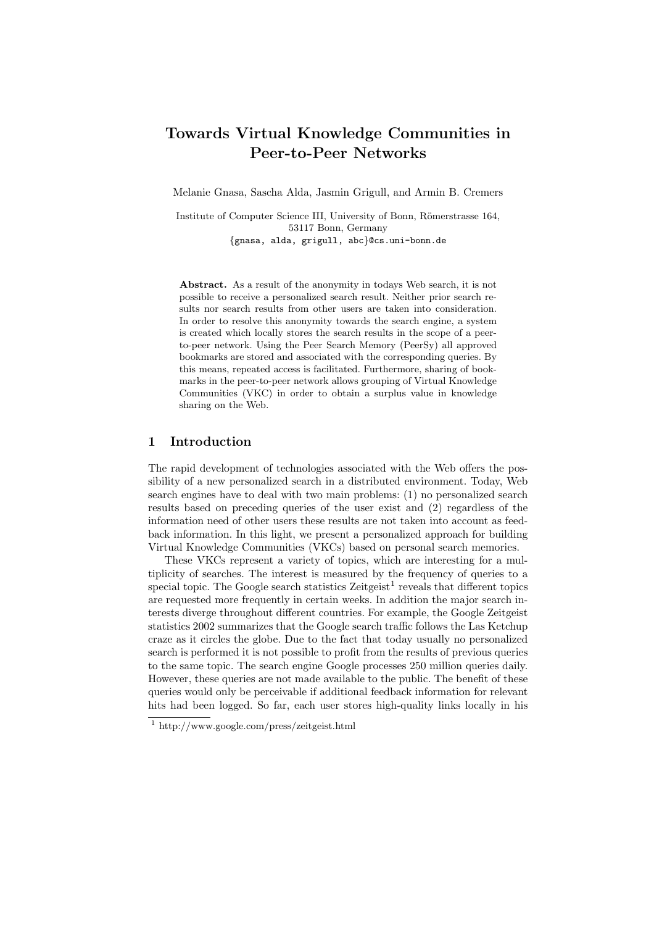# Towards Virtual Knowledge Communities in Peer-to-Peer Networks

Melanie Gnasa, Sascha Alda, Jasmin Grigull, and Armin B. Cremers

Institute of Computer Science III, University of Bonn, Römerstrasse 164, 53117 Bonn, Germany {gnasa, alda, grigull, abc}@cs.uni-bonn.de

Abstract. As a result of the anonymity in todays Web search, it is not possible to receive a personalized search result. Neither prior search results nor search results from other users are taken into consideration. In order to resolve this anonymity towards the search engine, a system is created which locally stores the search results in the scope of a peerto-peer network. Using the Peer Search Memory (PeerSy) all approved bookmarks are stored and associated with the corresponding queries. By this means, repeated access is facilitated. Furthermore, sharing of bookmarks in the peer-to-peer network allows grouping of Virtual Knowledge Communities (VKC) in order to obtain a surplus value in knowledge sharing on the Web.

# 1 Introduction

The rapid development of technologies associated with the Web offers the possibility of a new personalized search in a distributed environment. Today, Web search engines have to deal with two main problems: (1) no personalized search results based on preceding queries of the user exist and (2) regardless of the information need of other users these results are not taken into account as feedback information. In this light, we present a personalized approach for building Virtual Knowledge Communities (VKCs) based on personal search memories.

These VKCs represent a variety of topics, which are interesting for a multiplicity of searches. The interest is measured by the frequency of queries to a special topic. The Google search statistics  $Zeitgeist<sup>1</sup>$  reveals that different topics are requested more frequently in certain weeks. In addition the major search interests diverge throughout different countries. For example, the Google Zeitgeist statistics 2002 summarizes that the Google search traffic follows the Las Ketchup craze as it circles the globe. Due to the fact that today usually no personalized search is performed it is not possible to profit from the results of previous queries to the same topic. The search engine Google processes 250 million queries daily. However, these queries are not made available to the public. The benefit of these queries would only be perceivable if additional feedback information for relevant hits had been logged. So far, each user stores high-quality links locally in his

<sup>1</sup> http://www.google.com/press/zeitgeist.html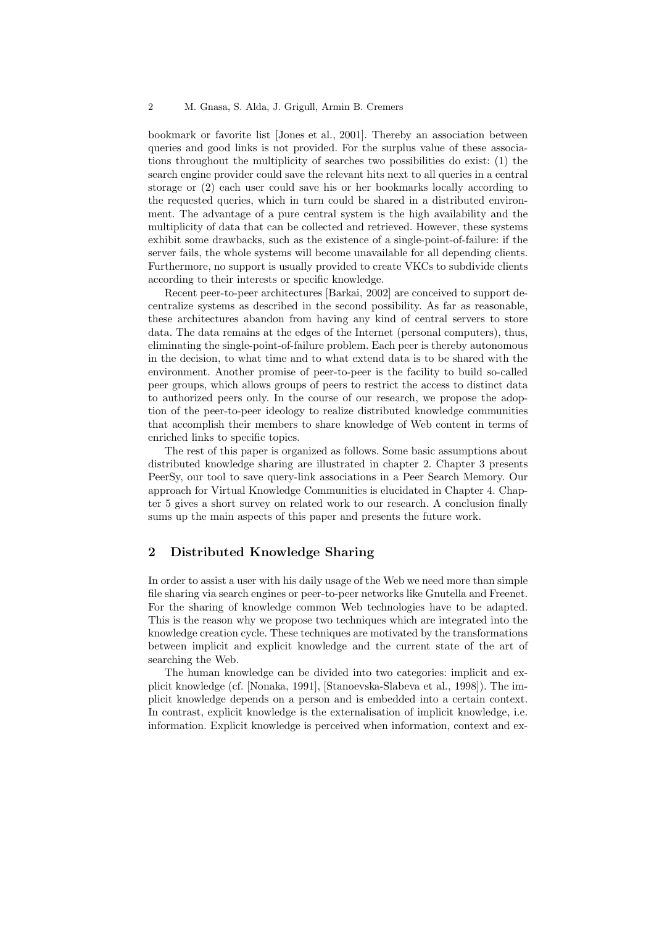bookmark or favorite list [Jones et al., 2001]. Thereby an association between queries and good links is not provided. For the surplus value of these associations throughout the multiplicity of searches two possibilities do exist: (1) the search engine provider could save the relevant hits next to all queries in a central storage or (2) each user could save his or her bookmarks locally according to the requested queries, which in turn could be shared in a distributed environment. The advantage of a pure central system is the high availability and the multiplicity of data that can be collected and retrieved. However, these systems exhibit some drawbacks, such as the existence of a single-point-of-failure: if the server fails, the whole systems will become unavailable for all depending clients. Furthermore, no support is usually provided to create VKCs to subdivide clients according to their interests or specific knowledge.

Recent peer-to-peer architectures [Barkai, 2002] are conceived to support decentralize systems as described in the second possibility. As far as reasonable, these architectures abandon from having any kind of central servers to store data. The data remains at the edges of the Internet (personal computers), thus, eliminating the single-point-of-failure problem. Each peer is thereby autonomous in the decision, to what time and to what extend data is to be shared with the environment. Another promise of peer-to-peer is the facility to build so-called peer groups, which allows groups of peers to restrict the access to distinct data to authorized peers only. In the course of our research, we propose the adoption of the peer-to-peer ideology to realize distributed knowledge communities that accomplish their members to share knowledge of Web content in terms of enriched links to specific topics.

The rest of this paper is organized as follows. Some basic assumptions about distributed knowledge sharing are illustrated in chapter 2. Chapter 3 presents PeerSy, our tool to save query-link associations in a Peer Search Memory. Our approach for Virtual Knowledge Communities is elucidated in Chapter 4. Chapter 5 gives a short survey on related work to our research. A conclusion finally sums up the main aspects of this paper and presents the future work.

# 2 Distributed Knowledge Sharing

In order to assist a user with his daily usage of the Web we need more than simple file sharing via search engines or peer-to-peer networks like Gnutella and Freenet. For the sharing of knowledge common Web technologies have to be adapted. This is the reason why we propose two techniques which are integrated into the knowledge creation cycle. These techniques are motivated by the transformations between implicit and explicit knowledge and the current state of the art of searching the Web.

The human knowledge can be divided into two categories: implicit and explicit knowledge (cf. [Nonaka, 1991], [Stanoevska-Slabeva et al., 1998]). The implicit knowledge depends on a person and is embedded into a certain context. In contrast, explicit knowledge is the externalisation of implicit knowledge, i.e. information. Explicit knowledge is perceived when information, context and ex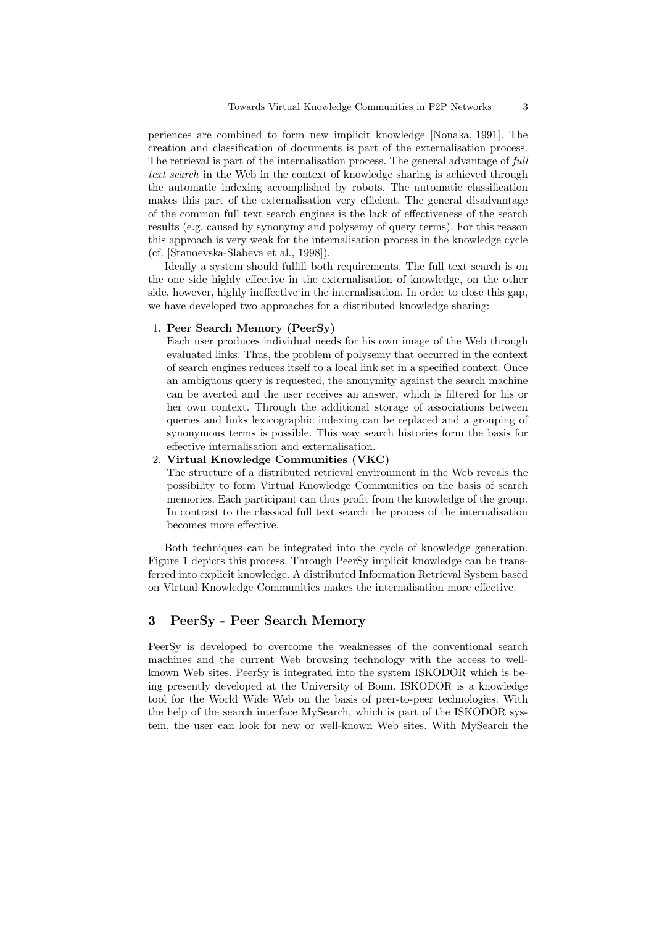periences are combined to form new implicit knowledge [Nonaka, 1991]. The creation and classification of documents is part of the externalisation process. The retrieval is part of the internalisation process. The general advantage of full text search in the Web in the context of knowledge sharing is achieved through the automatic indexing accomplished by robots. The automatic classification makes this part of the externalisation very efficient. The general disadvantage of the common full text search engines is the lack of effectiveness of the search results (e.g. caused by synonymy and polysemy of query terms). For this reason this approach is very weak for the internalisation process in the knowledge cycle (cf. [Stanoevska-Slabeva et al., 1998]).

Ideally a system should fulfill both requirements. The full text search is on the one side highly effective in the externalisation of knowledge, on the other side, however, highly ineffective in the internalisation. In order to close this gap, we have developed two approaches for a distributed knowledge sharing:

#### 1. Peer Search Memory (PeerSy)

Each user produces individual needs for his own image of the Web through evaluated links. Thus, the problem of polysemy that occurred in the context of search engines reduces itself to a local link set in a specified context. Once an ambiguous query is requested, the anonymity against the search machine can be averted and the user receives an answer, which is filtered for his or her own context. Through the additional storage of associations between queries and links lexicographic indexing can be replaced and a grouping of synonymous terms is possible. This way search histories form the basis for effective internalisation and externalisation.

#### 2. Virtual Knowledge Communities (VKC)

The structure of a distributed retrieval environment in the Web reveals the possibility to form Virtual Knowledge Communities on the basis of search memories. Each participant can thus profit from the knowledge of the group. In contrast to the classical full text search the process of the internalisation becomes more effective.

Both techniques can be integrated into the cycle of knowledge generation. Figure 1 depicts this process. Through PeerSy implicit knowledge can be transferred into explicit knowledge. A distributed Information Retrieval System based on Virtual Knowledge Communities makes the internalisation more effective.

# 3 PeerSy - Peer Search Memory

PeerSy is developed to overcome the weaknesses of the conventional search machines and the current Web browsing technology with the access to wellknown Web sites. PeerSy is integrated into the system ISKODOR which is being presently developed at the University of Bonn. ISKODOR is a knowledge tool for the World Wide Web on the basis of peer-to-peer technologies. With the help of the search interface MySearch, which is part of the ISKODOR system, the user can look for new or well-known Web sites. With MySearch the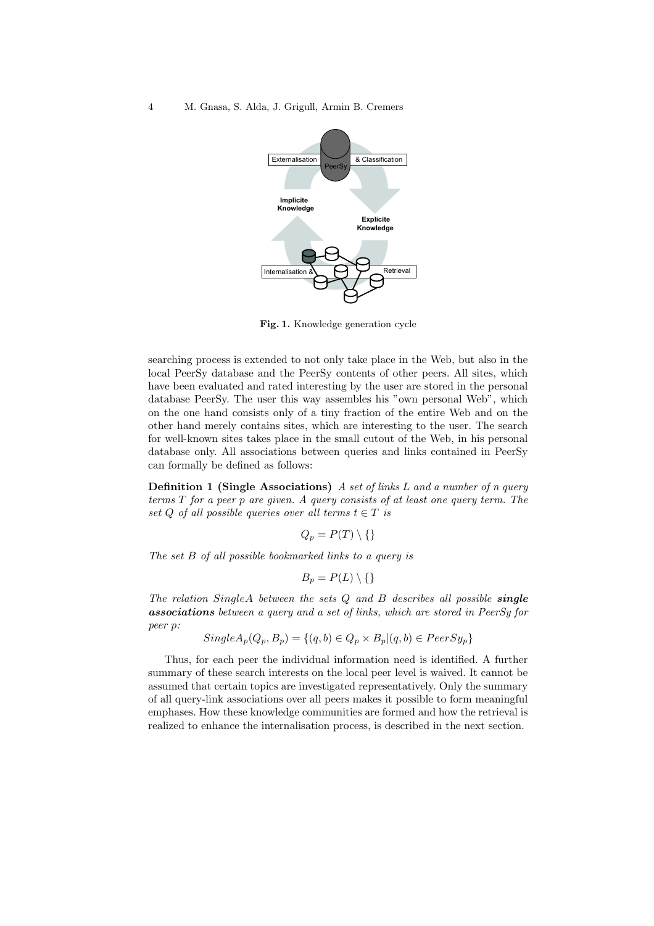#### 4 M. Gnasa, S. Alda, J. Grigull, Armin B. Cremers



Fig. 1. Knowledge generation cycle

searching process is extended to not only take place in the Web, but also in the local PeerSy database and the PeerSy contents of other peers. All sites, which have been evaluated and rated interesting by the user are stored in the personal database PeerSy. The user this way assembles his "own personal Web", which on the one hand consists only of a tiny fraction of the entire Web and on the other hand merely contains sites, which are interesting to the user. The search for well-known sites takes place in the small cutout of the Web, in his personal database only. All associations between queries and links contained in PeerSy can formally be defined as follows:

**Definition 1 (Single Associations)** A set of links  $L$  and a number of n query terms  $T$  for a peer  $p$  are given. A guery consists of at least one guery term. The set Q of all possible queries over all terms  $t \in T$  is

$$
Q_p = P(T) \setminus \{\}
$$

The set B of all possible bookmarked links to a query is

$$
B_p = P(L) \setminus \{\}
$$

The relation SingleA between the sets  $Q$  and  $B$  describes all possible single associations between a query and a set of links, which are stored in PeerSy for peer p:

$$
SingleA_p(Q_p, B_p) = \{(q, b) \in Q_p \times B_p | (q, b) \in PeerSy_p\}
$$

Thus, for each peer the individual information need is identified. A further summary of these search interests on the local peer level is waived. It cannot be assumed that certain topics are investigated representatively. Only the summary of all query-link associations over all peers makes it possible to form meaningful emphases. How these knowledge communities are formed and how the retrieval is realized to enhance the internalisation process, is described in the next section.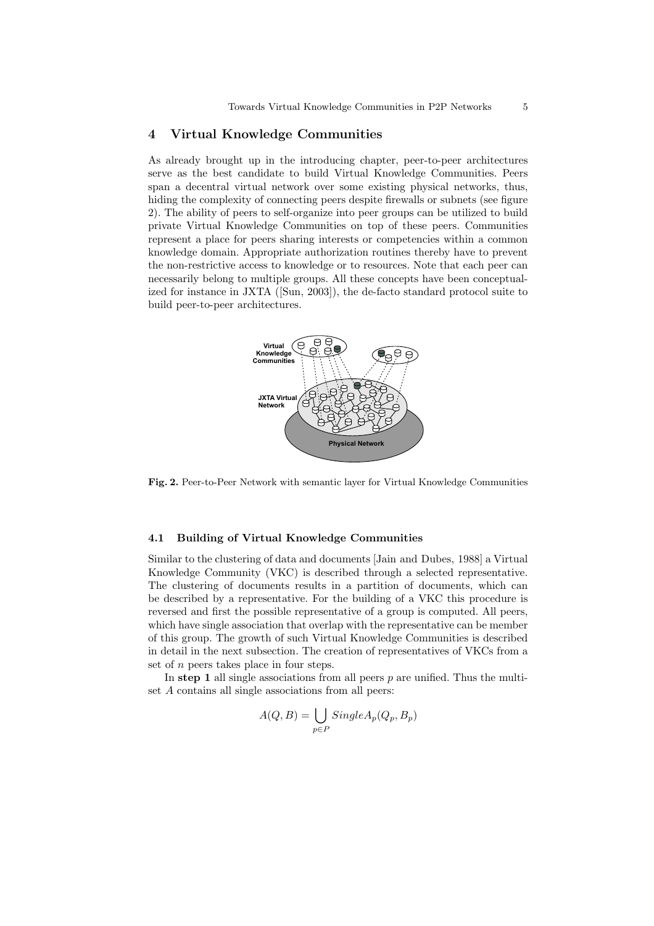## 4 Virtual Knowledge Communities

As already brought up in the introducing chapter, peer-to-peer architectures serve as the best candidate to build Virtual Knowledge Communities. Peers span a decentral virtual network over some existing physical networks, thus, hiding the complexity of connecting peers despite firewalls or subnets (see figure 2). The ability of peers to self-organize into peer groups can be utilized to build private Virtual Knowledge Communities on top of these peers. Communities represent a place for peers sharing interests or competencies within a common knowledge domain. Appropriate authorization routines thereby have to prevent the non-restrictive access to knowledge or to resources. Note that each peer can necessarily belong to multiple groups. All these concepts have been conceptualized for instance in JXTA ([Sun, 2003]), the de-facto standard protocol suite to build peer-to-peer architectures.



Fig. 2. Peer-to-Peer Network with semantic layer for Virtual Knowledge Communities

#### 4.1 Building of Virtual Knowledge Communities

Similar to the clustering of data and documents [Jain and Dubes, 1988] a Virtual Knowledge Community (VKC) is described through a selected representative. The clustering of documents results in a partition of documents, which can be described by a representative. For the building of a VKC this procedure is reversed and first the possible representative of a group is computed. All peers, which have single association that overlap with the representative can be member of this group. The growth of such Virtual Knowledge Communities is described in detail in the next subsection. The creation of representatives of VKCs from a set of n peers takes place in four steps.

In step 1 all single associations from all peers  $p$  are unified. Thus the multiset A contains all single associations from all peers:

$$
A(Q, B) = \bigcup_{p \in P} SingleA_p(Q_p, B_p)
$$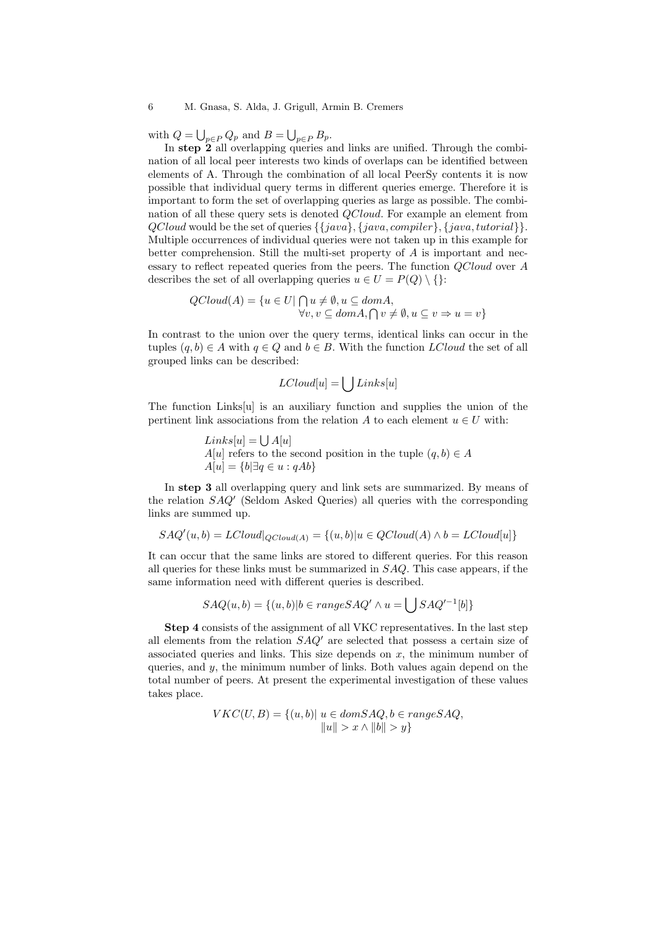with  $Q = \bigcup_{p \in P} Q_p$  and  $B = \bigcup_{p \in P} B_p$ .

In step 2 all overlapping queries and links are unified. Through the combination of all local peer interests two kinds of overlaps can be identified between elements of A. Through the combination of all local PeerSy contents it is now possible that individual query terms in different queries emerge. Therefore it is important to form the set of overlapping queries as large as possible. The combination of all these query sets is denoted QCloud. For example an element from  $QCloud$  would be the set of queries  $\{\{java\}, \{java, compiler\}, \{java, tutorial\}\}.$ Multiple occurrences of individual queries were not taken up in this example for better comprehension. Still the multi-set property of A is important and necessary to reflect repeated queries from the peers. The function QCloud over A describes the set of all overlapping queries  $u \in U = P(Q) \setminus \{\}$ :

$$
QCIoud(A) = \{u \in U | \bigcap u \neq \emptyset, u \subseteq dom A, \\ \forall v, v \subseteq dom A, \bigcap v \neq \emptyset, u \subseteq v \Rightarrow u = v\}
$$

In contrast to the union over the query terms, identical links can occur in the tuples  $(q, b) \in A$  with  $q \in Q$  and  $b \in B$ . With the function *LCloud* the set of all grouped links can be described:

$$
LCloud[u] = \bigcup Links[u]
$$

The function Links[u] is an auxiliary function and supplies the union of the pertinent link associations from the relation A to each element  $u \in U$  with:

> $Links[u] = \bigcup A[u]$ A[u] refers to the second position in the tuple  $(q, b) \in A$  $A[u] = \{b | \exists q \in u : qAb\}$

In step 3 all overlapping query and link sets are summarized. By means of the relation  $SAQ'$  (Seldom Asked Queries) all queries with the corresponding links are summed up.

$$
SAQ'(u, b) = LCloud|_{QCloud(A)} = \{(u, b)|u \in QCloud(A) \land b = LCloud[u]\}
$$

It can occur that the same links are stored to different queries. For this reason all queries for these links must be summarized in SAQ. This case appears, if the same information need with different queries is described.

$$
SAQ(u, b) = \{(u, b) | b \in rangeSAQ' \land u = \left[ \begin{array}{c} SAQ'^{-1}[b] \end{array} \right]
$$

Step 4 consists of the assignment of all VKC representatives. In the last step all elements from the relation  $SAQ'$  are selected that possess a certain size of associated queries and links. This size depends on  $x$ , the minimum number of queries, and  $y$ , the minimum number of links. Both values again depend on the total number of peers. At present the experimental investigation of these values takes place.

$$
VKC(U, B) = \{(u, b) | u \in domSAQ, b \in rangeSAQ, ||u|| > x \land ||b|| > y\}
$$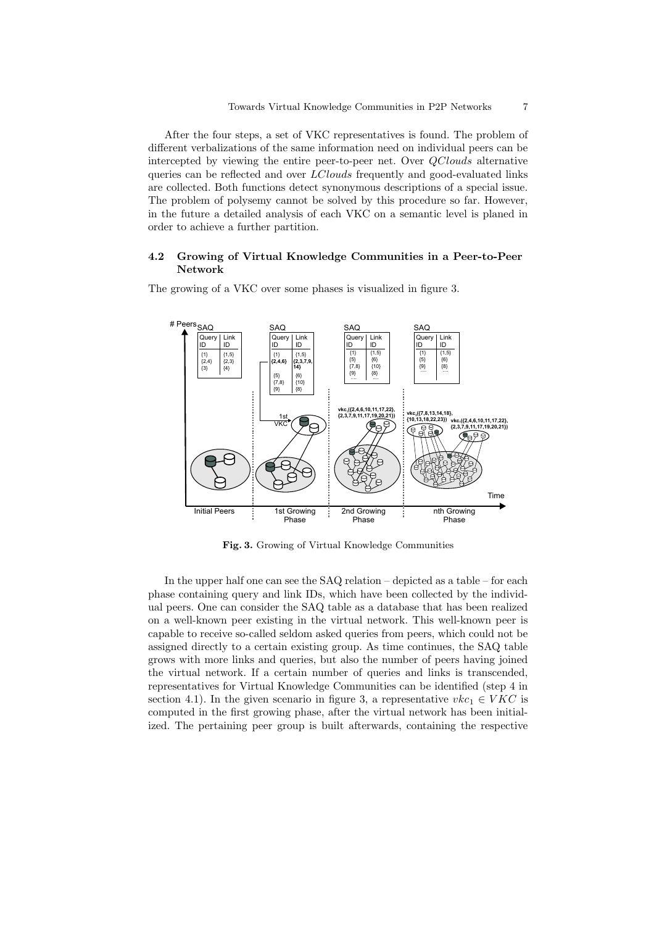After the four steps, a set of VKC representatives is found. The problem of different verbalizations of the same information need on individual peers can be intercepted by viewing the entire peer-to-peer net. Over QClouds alternative queries can be reflected and over *LClouds* frequently and good-evaluated links are collected. Both functions detect synonymous descriptions of a special issue. The problem of polysemy cannot be solved by this procedure so far. However, in the future a detailed analysis of each VKC on a semantic level is planed in order to achieve a further partition.

#### 4.2 Growing of Virtual Knowledge Communities in a Peer-to-Peer Network

Time # Peers SAQ Initial Peers 1st Growing Phase 2nd Growing Phase nth Growing Phase Query ID Link ID  ${1}$  {1,5}  ${2,3}$ <br> ${4}$  ${2,4}$ <br> ${3}$ SAQ Quen ID Link ID  $\{1\}$  {1,5} **{2,4,6} {2,3,7,9, 14}** {5} {6} {7,8} {10}  ${9}$   ${8}$ SAQ Quer ID Link ID  $(1, 5)$ **vkc ({2,4,6,10,11,17,22}, <sup>1</sup> {2,3,7,9,11,17,19,20,21})** {5} {6} {7,8} {10} ,<br>{8} .... .... 1s<br>VKC VKC **vkc ({2,4,6,10,11,17,22}, <sup>1</sup> {2,3,7,9,11,17,19,20,21}) vkc ({7,8,13,14,18}, <sup>2</sup> {10,13,18,22,23}) SAC** Query ID Link ID  ${1}$   ${1,5}$ <br> ${5}$   ${6}$  $\frac{1}{(5)}$ <br> $(9)$  $(8)$ .... ....

The growing of a VKC over some phases is visualized in figure 3.

Fig. 3. Growing of Virtual Knowledge Communities

In the upper half one can see the SAQ relation – depicted as a table – for each phase containing query and link IDs, which have been collected by the individual peers. One can consider the SAQ table as a database that has been realized on a well-known peer existing in the virtual network. This well-known peer is capable to receive so-called seldom asked queries from peers, which could not be assigned directly to a certain existing group. As time continues, the SAQ table grows with more links and queries, but also the number of peers having joined the virtual network. If a certain number of queries and links is transcended, representatives for Virtual Knowledge Communities can be identified (step 4 in section 4.1). In the given scenario in figure 3, a representative  $vkc_1 \in VKC$  is computed in the first growing phase, after the virtual network has been initialized. The pertaining peer group is built afterwards, containing the respective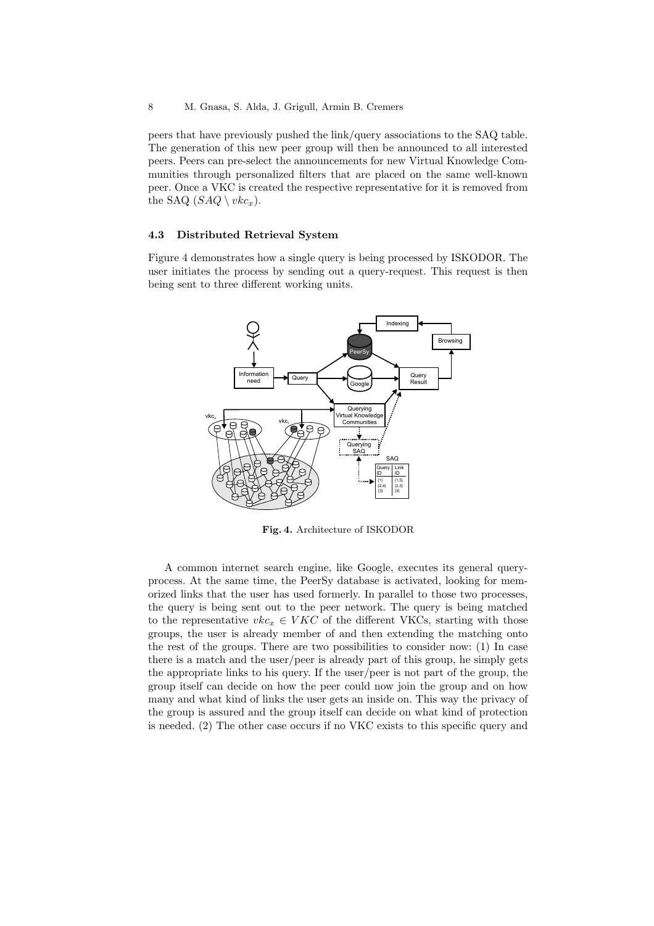peers that have previously pushed the link/query associations to the SAQ table. The generation of this new peer group will then be announced to all interested peers. Peers can pre-select the announcements for new Virtual Knowledge Communities through personalized filters that are placed on the same well-known peer. Once a VKC is created the respective representative for it is removed from the SAQ  $(SAQ \setminus vkc_x)$ .

## 4.3 Distributed Retrieval System

Figure 4 demonstrates how a single query is being processed by ISKODOR. The user initiates the process by sending out a query-request. This request is then being sent to three different working units.



Fig. 4. Architecture of ISKODOR

A common internet search engine, like Google, executes its general queryprocess. At the same time, the PeerSy database is activated, looking for memorized links that the user has used formerly. In parallel to those two processes, the query is being sent out to the peer network. The query is being matched to the representative  $vkc_x \in VKC$  of the different VKCs, starting with those groups, the user is already member of and then extending the matching onto the rest of the groups. There are two possibilities to consider now: (1) In case there is a match and the user/peer is already part of this group, he simply gets the appropriate links to his query. If the user/peer is not part of the group, the group itself can decide on how the peer could now join the group and on how many and what kind of links the user gets an inside on. This way the privacy of the group is assured and the group itself can decide on what kind of protection is needed. (2) The other case occurs if no VKC exists to this specific query and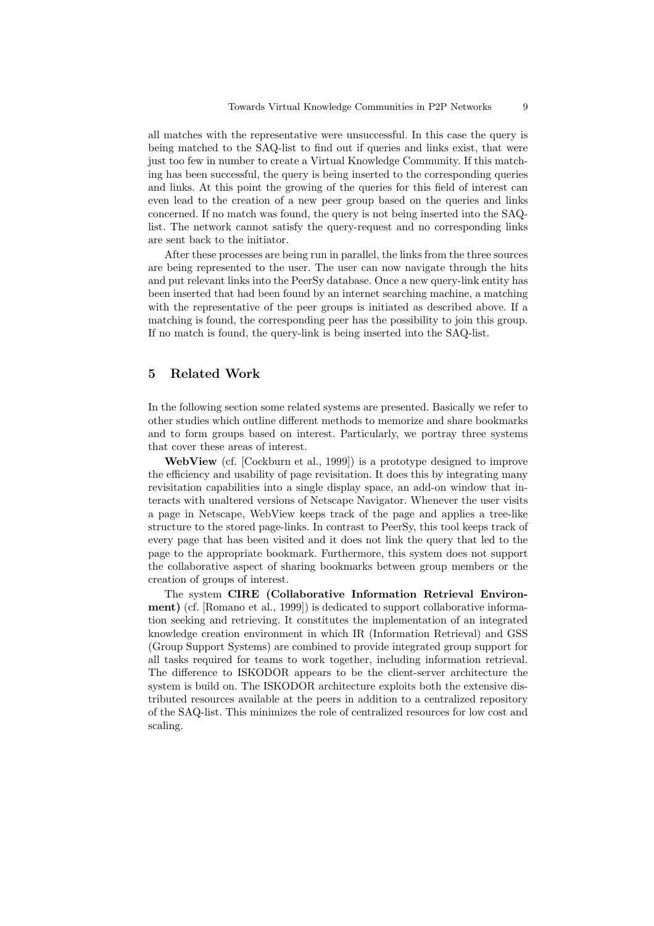all matches with the representative were unsuccessful. In this case the query is being matched to the SAQ-list to find out if queries and links exist, that were just too few in number to create a Virtual Knowledge Community. If this matching has been successful, the query is being inserted to the corresponding queries and links. At this point the growing of the queries for this field of interest can even lead to the creation of a new peer group based on the queries and links concerned. If no match was found, the query is not being inserted into the SAQlist. The network cannot satisfy the query-request and no corresponding links are sent back to the initiator.

After these processes are being run in parallel, the links from the three sources are being represented to the user. The user can now navigate through the hits and put relevant links into the PeerSy database. Once a new query-link entity has been inserted that had been found by an internet searching machine, a matching with the representative of the peer groups is initiated as described above. If a matching is found, the corresponding peer has the possibility to join this group. If no match is found, the query-link is being inserted into the SAQ-list.

## 5 Related Work

In the following section some related systems are presented. Basically we refer to other studies which outline different methods to memorize and share bookmarks and to form groups based on interest. Particularly, we portray three systems that cover these areas of interest.

WebView (cf. [Cockburn et al., 1999]) is a prototype designed to improve the efficiency and usability of page revisitation. It does this by integrating many revisitation capabilities into a single display space, an add-on window that interacts with unaltered versions of Netscape Navigator. Whenever the user visits a page in Netscape, WebView keeps track of the page and applies a tree-like structure to the stored page-links. In contrast to PeerSy, this tool keeps track of every page that has been visited and it does not link the query that led to the page to the appropriate bookmark. Furthermore, this system does not support the collaborative aspect of sharing bookmarks between group members or the creation of groups of interest.

The system CIRE (Collaborative Information Retrieval Environment) (cf. [Romano et al., 1999]) is dedicated to support collaborative information seeking and retrieving. It constitutes the implementation of an integrated knowledge creation environment in which IR (Information Retrieval) and GSS (Group Support Systems) are combined to provide integrated group support for all tasks required for teams to work together, including information retrieval. The difference to ISKODOR appears to be the client-server architecture the system is build on. The ISKODOR architecture exploits both the extensive distributed resources available at the peers in addition to a centralized repository of the SAQ-list. This minimizes the role of centralized resources for low cost and scaling.